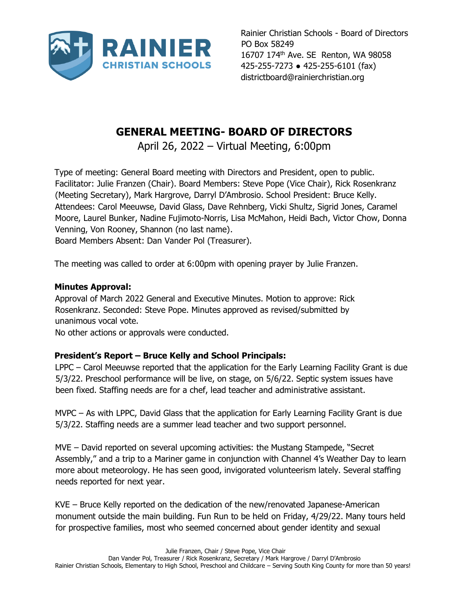

Rainier Christian Schools - Board of Directors PO Box 58249 16707 174<sup>th</sup> Ave. SE Renton, WA 98058 425-255-7273 ● 425-255-6101 (fax) districtboard@rainierchristian.org

## **GENERAL MEETING- BOARD OF DIRECTORS**

April 26, 2022 – Virtual Meeting, 6:00pm

Type of meeting: General Board meeting with Directors and President, open to public. Facilitator: Julie Franzen (Chair). Board Members: Steve Pope (Vice Chair), Rick Rosenkranz (Meeting Secretary), Mark Hargrove, Darryl D'Ambrosio. School President: Bruce Kelly. Attendees: Carol Meeuwse, David Glass, Dave Rehnberg, Vicki Shultz, Sigrid Jones, Caramel Moore, Laurel Bunker, Nadine Fujimoto-Norris, Lisa McMahon, Heidi Bach, Victor Chow, Donna Venning, Von Rooney, Shannon (no last name). Board Members Absent: Dan Vander Pol (Treasurer).

The meeting was called to order at 6:00pm with opening prayer by Julie Franzen.

## **Minutes Approval:**

Approval of March 2022 General and Executive Minutes. Motion to approve: Rick Rosenkranz. Seconded: Steve Pope. Minutes approved as revised/submitted by unanimous vocal vote.

No other actions or approvals were conducted.

## **President's Report – Bruce Kelly and School Principals:**

LPPC – Carol Meeuwse reported that the application for the Early Learning Facility Grant is due 5/3/22. Preschool performance will be live, on stage, on 5/6/22. Septic system issues have been fixed. Staffing needs are for a chef, lead teacher and administrative assistant.

MVPC – As with LPPC, David Glass that the application for Early Learning Facility Grant is due 5/3/22. Staffing needs are a summer lead teacher and two support personnel.

MVE – David reported on several upcoming activities: the Mustang Stampede, "Secret Assembly," and a trip to a Mariner game in conjunction with Channel 4's Weather Day to learn more about meteorology. He has seen good, invigorated volunteerism lately. Several staffing needs reported for next year.

KVE – Bruce Kelly reported on the dedication of the new/renovated Japanese-American monument outside the main building. Fun Run to be held on Friday, 4/29/22. Many tours held for prospective families, most who seemed concerned about gender identity and sexual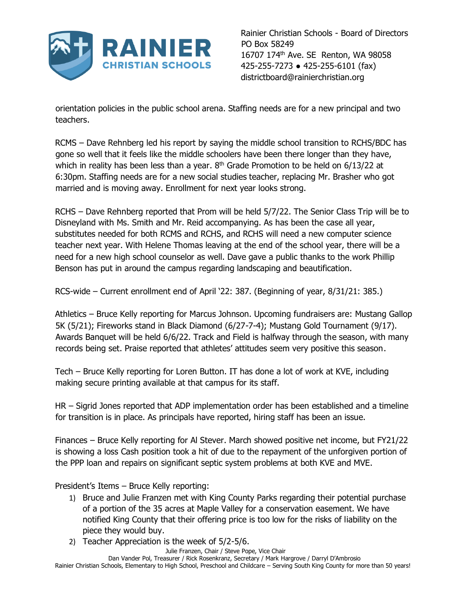

Rainier Christian Schools - Board of Directors PO Box 58249 16707 174<sup>th</sup> Ave. SE Renton, WA 98058 425-255-7273 ● 425-255-6101 (fax) districtboard@rainierchristian.org

orientation policies in the public school arena. Staffing needs are for a new principal and two teachers.

RCMS – Dave Rehnberg led his report by saying the middle school transition to RCHS/BDC has gone so well that it feels like the middle schoolers have been there longer than they have, which in reality has been less than a year.  $8<sup>th</sup>$  Grade Promotion to be held on 6/13/22 at 6:30pm. Staffing needs are for a new social studies teacher, replacing Mr. Brasher who got married and is moving away. Enrollment for next year looks strong.

RCHS – Dave Rehnberg reported that Prom will be held 5/7/22. The Senior Class Trip will be to Disneyland with Ms. Smith and Mr. Reid accompanying. As has been the case all year, substitutes needed for both RCMS and RCHS, and RCHS will need a new computer science teacher next year. With Helene Thomas leaving at the end of the school year, there will be a need for a new high school counselor as well. Dave gave a public thanks to the work Phillip Benson has put in around the campus regarding landscaping and beautification.

RCS-wide – Current enrollment end of April '22: 387. (Beginning of year, 8/31/21: 385.)

Athletics – Bruce Kelly reporting for Marcus Johnson. Upcoming fundraisers are: Mustang Gallop 5K (5/21); Fireworks stand in Black Diamond (6/27-7-4); Mustang Gold Tournament (9/17). Awards Banquet will be held 6/6/22. Track and Field is halfway through the season, with many records being set. Praise reported that athletes' attitudes seem very positive this season.

Tech – Bruce Kelly reporting for Loren Button. IT has done a lot of work at KVE, including making secure printing available at that campus for its staff.

HR – Sigrid Jones reported that ADP implementation order has been established and a timeline for transition is in place. As principals have reported, hiring staff has been an issue.

Finances – Bruce Kelly reporting for Al Stever. March showed positive net income, but FY21/22 is showing a loss Cash position took a hit of due to the repayment of the unforgiven portion of the PPP loan and repairs on significant septic system problems at both KVE and MVE.

President's Items – Bruce Kelly reporting:

- 1) Bruce and Julie Franzen met with King County Parks regarding their potential purchase of a portion of the 35 acres at Maple Valley for a conservation easement. We have notified King County that their offering price is too low for the risks of liability on the piece they would buy.
- 2) Teacher Appreciation is the week of 5/2-5/6.